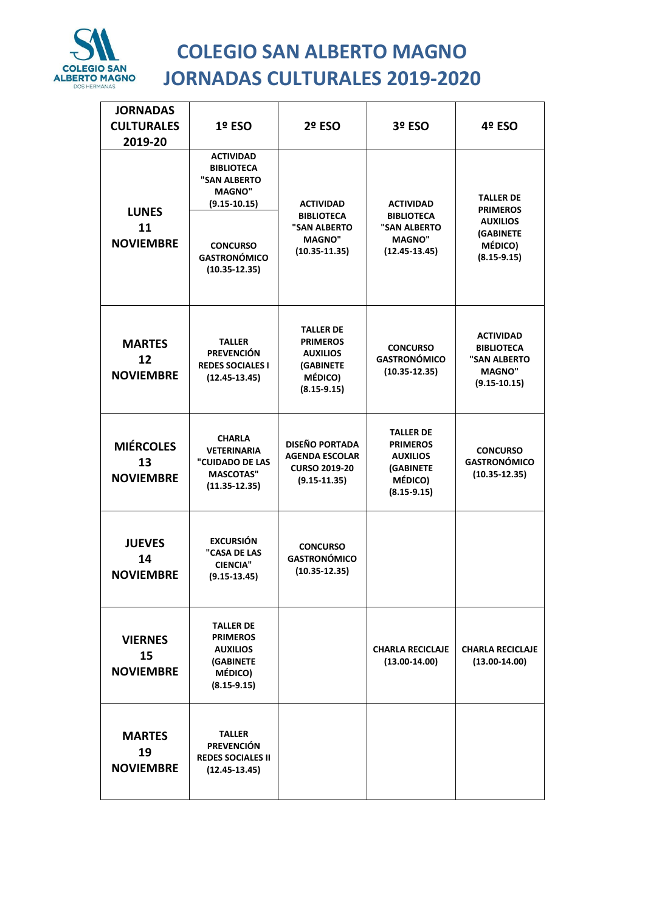

## **COLEGIO SAN ALBERTO MAGNO JORNADAS CULTURALES 2019-2020**

| <b>JORNADAS</b>                            |                                                                                                                                                           |                                                                                                   |                                                                                                   |                                                                                                   |
|--------------------------------------------|-----------------------------------------------------------------------------------------------------------------------------------------------------------|---------------------------------------------------------------------------------------------------|---------------------------------------------------------------------------------------------------|---------------------------------------------------------------------------------------------------|
| <b>CULTURALES</b>                          | 1º ESO                                                                                                                                                    | 2º ESO                                                                                            | 3º ESO                                                                                            | 4º ESO                                                                                            |
| 2019-20                                    |                                                                                                                                                           |                                                                                                   |                                                                                                   |                                                                                                   |
| <b>LUNES</b><br>11<br><b>NOVIEMBRE</b>     | <b>ACTIVIDAD</b><br><b>BIBLIOTECA</b><br>"SAN ALBERTO<br><b>MAGNO"</b><br>$(9.15 - 10.15)$<br><b>CONCURSO</b><br><b>GASTRONÓMICO</b><br>$(10.35 - 12.35)$ | <b>ACTIVIDAD</b><br><b>BIBLIOTECA</b><br>"SAN ALBERTO<br><b>MAGNO"</b><br>$(10.35 - 11.35)$       | <b>ACTIVIDAD</b><br><b>BIBLIOTECA</b><br>"SAN ALBERTO<br><b>MAGNO"</b><br>$(12.45 - 13.45)$       | <b>TALLER DE</b><br><b>PRIMEROS</b><br><b>AUXILIOS</b><br>(GABINETE<br>MÉDICO)<br>$(8.15 - 9.15)$ |
| <b>MARTES</b><br>12<br><b>NOVIEMBRE</b>    | <b>TALLER</b><br><b>PREVENCIÓN</b><br><b>REDES SOCIALES I</b><br>$(12.45 - 13.45)$                                                                        | <b>TALLER DE</b><br><b>PRIMEROS</b><br><b>AUXILIOS</b><br>(GABINETE<br>MÉDICO)<br>$(8.15 - 9.15)$ | <b>CONCURSO</b><br><b>GASTRONÓMICO</b><br>$(10.35 - 12.35)$                                       | <b>ACTIVIDAD</b><br><b>BIBLIOTECA</b><br>"SAN ALBERTO<br><b>MAGNO"</b><br>$(9.15 - 10.15)$        |
| <b>MIÉRCOLES</b><br>13<br><b>NOVIEMBRE</b> | <b>CHARLA</b><br><b>VETERINARIA</b><br>"CUIDADO DE LAS<br><b>MASCOTAS"</b><br>$(11.35 - 12.35)$                                                           | <b>DISEÑO PORTADA</b><br><b>AGENDA ESCOLAR</b><br><b>CURSO 2019-20</b><br>$(9.15 - 11.35)$        | <b>TALLER DE</b><br><b>PRIMEROS</b><br><b>AUXILIOS</b><br>(GABINETE<br>MÉDICO)<br>$(8.15 - 9.15)$ | <b>CONCURSO</b><br><b>GASTRONÓMICO</b><br>$(10.35 - 12.35)$                                       |
| <b>JUEVES</b><br>14<br><b>NOVIEMBRE</b>    | <b>EXCURSIÓN</b><br>"CASA DE LAS<br><b>CIENCIA"</b><br>$(9.15 - 13.45)$                                                                                   | <b>CONCURSO</b><br><b>GASTRONÓMICO</b><br>$(10.35 - 12.35)$                                       |                                                                                                   |                                                                                                   |
| <b>VIERNES</b><br>15<br><b>NOVIEMBRE</b>   | <b>TALLER DE</b><br><b>PRIMEROS</b><br><b>AUXILIOS</b><br>(GABINETE<br>MÉDICO)<br>$(8.15 - 9.15)$                                                         |                                                                                                   | <b>CHARLA RECICLAJE</b><br>$(13.00-14.00)$                                                        | <b>CHARLA RECICLAJE</b><br>$(13.00 - 14.00)$                                                      |
| <b>MARTES</b><br>19<br><b>NOVIEMBRE</b>    | <b>TALLER</b><br><b>PREVENCIÓN</b><br><b>REDES SOCIALES II</b><br>$(12.45 - 13.45)$                                                                       |                                                                                                   |                                                                                                   |                                                                                                   |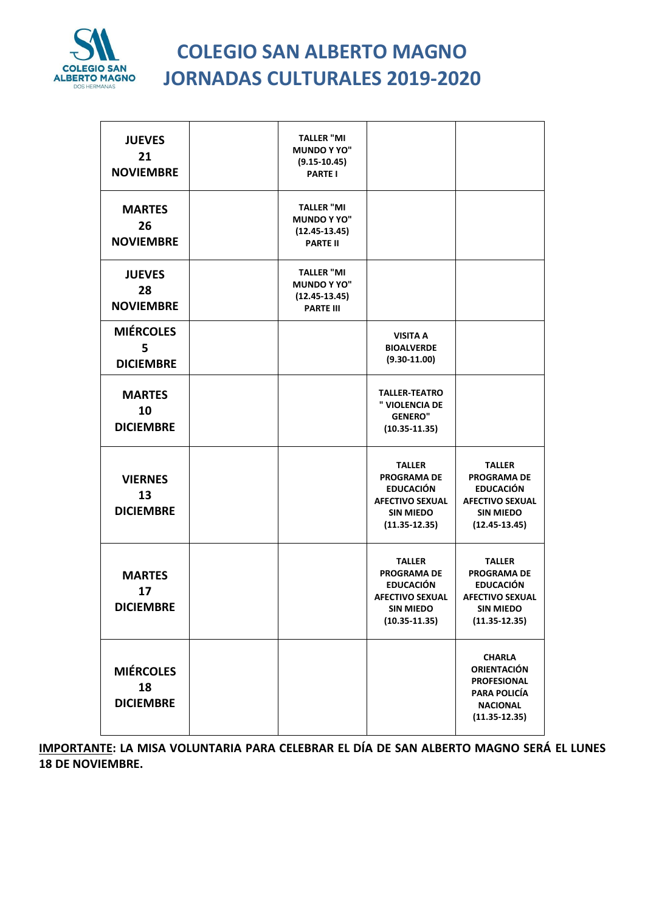

## **COLEGIO SAN ALBERTO MAGNO JORNADAS CULTURALES 2019-2020**

| <b>JUEVES</b><br>21<br><b>NOVIEMBRE</b>    | <b>TALLER "MI</b><br><b>MUNDO Y YO"</b><br>$(9.15 - 10.45)$<br><b>PARTE I</b>    |                                                                                                                            |                                                                                                                            |
|--------------------------------------------|----------------------------------------------------------------------------------|----------------------------------------------------------------------------------------------------------------------------|----------------------------------------------------------------------------------------------------------------------------|
| <b>MARTES</b><br>26<br><b>NOVIEMBRE</b>    | <b>TALLER "MI</b><br><b>MUNDO Y YO"</b><br>$(12.45 - 13.45)$<br><b>PARTE II</b>  |                                                                                                                            |                                                                                                                            |
| <b>JUEVES</b><br>28<br><b>NOVIEMBRE</b>    | <b>TALLER "MI</b><br><b>MUNDO Y YO"</b><br>$(12.45 - 13.45)$<br><b>PARTE III</b> |                                                                                                                            |                                                                                                                            |
| <b>MIÉRCOLES</b><br>5<br><b>DICIEMBRE</b>  |                                                                                  | <b>VISITA A</b><br><b>BIOALVERDE</b><br>$(9.30 - 11.00)$                                                                   |                                                                                                                            |
| <b>MARTES</b><br>10<br><b>DICIEMBRE</b>    |                                                                                  | <b>TALLER-TEATRO</b><br>" VIOLENCIA DE<br><b>GENERO"</b><br>$(10.35 - 11.35)$                                              |                                                                                                                            |
| <b>VIERNES</b><br>13<br><b>DICIEMBRE</b>   |                                                                                  | <b>TALLER</b><br><b>PROGRAMA DE</b><br><b>EDUCACIÓN</b><br><b>AFECTIVO SEXUAL</b><br><b>SIN MIEDO</b><br>$(11.35 - 12.35)$ | <b>TALLER</b><br><b>PROGRAMA DE</b><br><b>EDUCACIÓN</b><br><b>AFECTIVO SEXUAL</b><br><b>SIN MIEDO</b><br>$(12.45 - 13.45)$ |
| <b>MARTES</b><br>17<br><b>DICIEMBRE</b>    |                                                                                  | <b>TALLER</b><br><b>PROGRAMA DE</b><br><b>EDUCACIÓN</b><br><b>AFECTIVO SEXUAL</b><br><b>SIN MIEDO</b><br>$(10.35 - 11.35)$ | <b>TALLER</b><br><b>PROGRAMA DE</b><br><b>EDUCACIÓN</b><br><b>AFECTIVO SEXUAL</b><br><b>SIN MIEDO</b><br>$(11.35 - 12.35)$ |
| <b>MIÉRCOLES</b><br>18<br><b>DICIEMBRE</b> |                                                                                  |                                                                                                                            | <b>CHARLA</b><br><b>ORIENTACIÓN</b><br><b>PROFESIONAL</b><br><b>PARA POLICÍA</b><br><b>NACIONAL</b><br>$(11.35 - 12.35)$   |

**IMPORTANTE: LA MISA VOLUNTARIA PARA CELEBRAR EL DÍA DE SAN ALBERTO MAGNO SERÁ EL LUNES 18 DE NOVIEMBRE.**